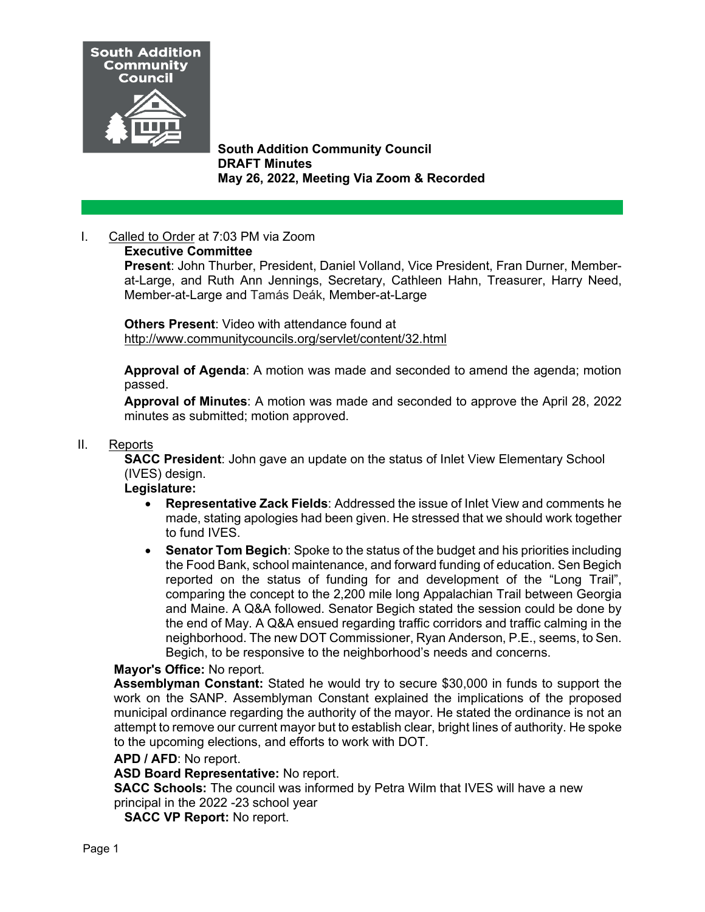

 **South Addition Community Council DRAFT Minutes May 26, 2022, Meeting Via Zoom & Recorded**

# I. Called to Order at 7:03 PM via Zoom

## **Executive Committee**

**Present**: John Thurber, President, Daniel Volland, Vice President, Fran Durner, Memberat-Large, and Ruth Ann Jennings, Secretary, Cathleen Hahn, Treasurer, Harry Need, Member-at-Large and Tamás Deák, Member-at-Large

**Others Present**: Video with attendance found at <http://www.communitycouncils.org/servlet/content/32.html>

**Approval of Agenda**: A motion was made and seconded to amend the agenda; motion passed.

**Approval of Minutes**: A motion was made and seconded to approve the April 28, 2022 minutes as submitted; motion approved.

### II. Reports

**SACC President**: John gave an update on the status of Inlet View Elementary School (IVES) design.

**Legislature:** 

- **Representative Zack Fields**: Addressed the issue of Inlet View and comments he made, stating apologies had been given. He stressed that we should work together to fund IVES.
- **Senator Tom Begich**: Spoke to the status of the budget and his priorities including the Food Bank, school maintenance, and forward funding of education. Sen Begich reported on the status of funding for and development of the "Long Trail", comparing the concept to the 2,200 mile long Appalachian Trail between Georgia and Maine. A Q&A followed. Senator Begich stated the session could be done by the end of May. A Q&A ensued regarding traffic corridors and traffic calming in the neighborhood. The new DOT Commissioner, Ryan Anderson, P.E., seems, to Sen. Begich, to be responsive to the neighborhood's needs and concerns.

## **Mayor's Office:** No report.

**Assemblyman Constant:** Stated he would try to secure \$30,000 in funds to support the work on the SANP. Assemblyman Constant explained the implications of the proposed municipal ordinance regarding the authority of the mayor. He stated the ordinance is not an attempt to remove our current mayor but to establish clear, bright lines of authority. He spoke to the upcoming elections, and efforts to work with DOT.

#### **APD / AFD**: No report.

**ASD Board Representative:** No report.

**SACC Schools:** The council was informed by Petra Wilm that IVES will have a new principal in the 2022 -23 school year

**SACC VP Report:** No report.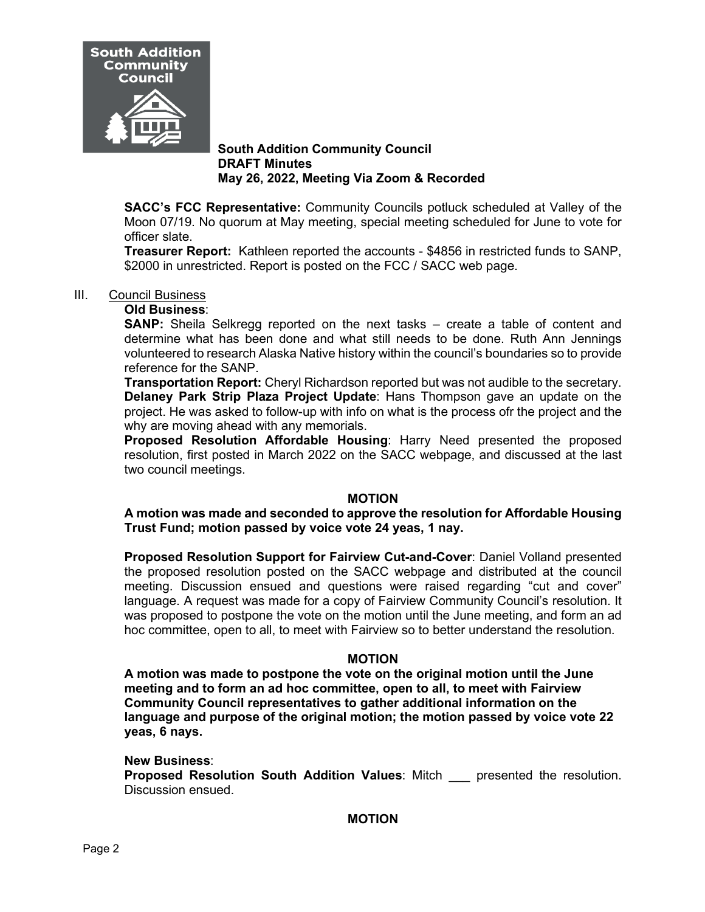

### **South Addition Community Council DRAFT Minutes May 26, 2022, Meeting Via Zoom & Recorded**

**SACC's FCC Representative:** Community Councils potluck scheduled at Valley of the Moon 07/19. No quorum at May meeting, special meeting scheduled for June to vote for officer slate.

**Treasurer Report:** Kathleen reported the accounts - \$4856 in restricted funds to SANP, \$2000 in unrestricted. Report is posted on the FCC / SACC web page.

#### III. Council Business

#### **Old Business**:

**SANP:** Sheila Selkregg reported on the next tasks – create a table of content and determine what has been done and what still needs to be done. Ruth Ann Jennings volunteered to research Alaska Native history within the council's boundaries so to provide reference for the SANP.

**Transportation Report:** Cheryl Richardson reported but was not audible to the secretary. **Delaney Park Strip Plaza Project Update**: Hans Thompson gave an update on the project. He was asked to follow-up with info on what is the process ofr the project and the why are moving ahead with any memorials.

**Proposed Resolution Affordable Housing**: Harry Need presented the proposed resolution, first posted in March 2022 on the SACC webpage, and discussed at the last two council meetings.

#### **MOTION**

#### **A motion was made and seconded to approve the resolution for Affordable Housing Trust Fund; motion passed by voice vote 24 yeas, 1 nay.**

**Proposed Resolution Support for Fairview Cut-and-Cover**: Daniel Volland presented the proposed resolution posted on the SACC webpage and distributed at the council meeting. Discussion ensued and questions were raised regarding "cut and cover" language. A request was made for a copy of Fairview Community Council's resolution. It was proposed to postpone the vote on the motion until the June meeting, and form an ad hoc committee, open to all, to meet with Fairview so to better understand the resolution.

#### **MOTION**

**A motion was made to postpone the vote on the original motion until the June meeting and to form an ad hoc committee, open to all, to meet with Fairview Community Council representatives to gather additional information on the language and purpose of the original motion; the motion passed by voice vote 22 yeas, 6 nays.** 

#### **New Business**:

**Proposed Resolution South Addition Values: Mitch expresented the resolution.** Discussion ensued.

**MOTION**